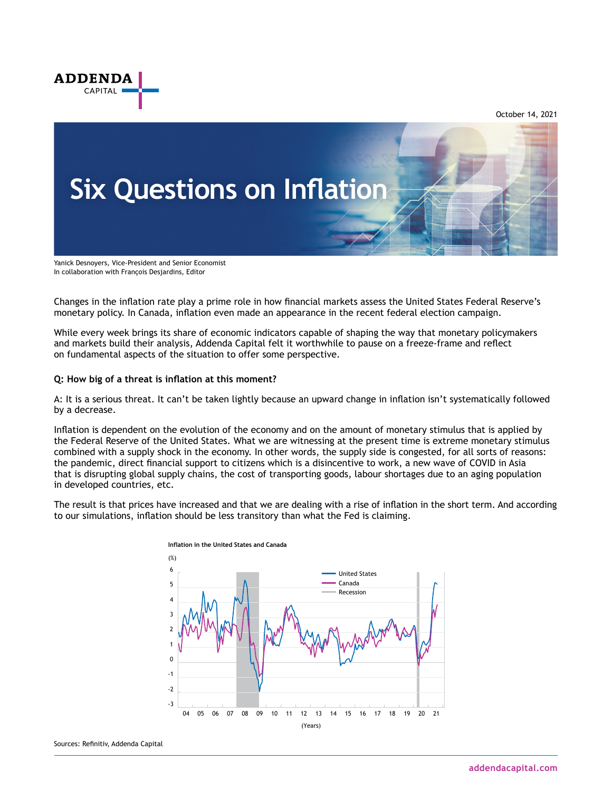

October 14, 2021



Yanick Desnoyers, Vice-President and Senior Economist In collaboration with François Desjardins, Editor

Changes in the inflation rate play a prime role in how financial markets assess the United States Federal Reserve's monetary policy. In Canada, inflation even made an appearance in the recent federal election campaign.

While every week brings its share of economic indicators capable of shaping the way that monetary policymakers and markets build their analysis, Addenda Capital felt it worthwhile to pause on a freeze-frame and reflect on fundamental aspects of the situation to offer some perspective.

# **Q: How big of a threat is inflation at this moment?**

A: It is a serious threat. It can't be taken lightly because an upward change in inflation isn't systematically followed by a decrease.

Inflation is dependent on the evolution of the economy and on the amount of monetary stimulus that is applied by the Federal Reserve of the United States. What we are witnessing at the present time is extreme monetary stimulus combined with a supply shock in the economy. In other words, the supply side is congested, for all sorts of reasons: the pandemic, direct financial support to citizens which is a disincentive to work, a new wave of COVID in Asia that is disrupting global supply chains, the cost of transporting goods, labour shortages due to an aging population in developed countries, etc.

The result is that prices have increased and that we are dealing with a rise of inflation in the short term. And according to our simulations, inflation should be less transitory than what the Fed is claiming.

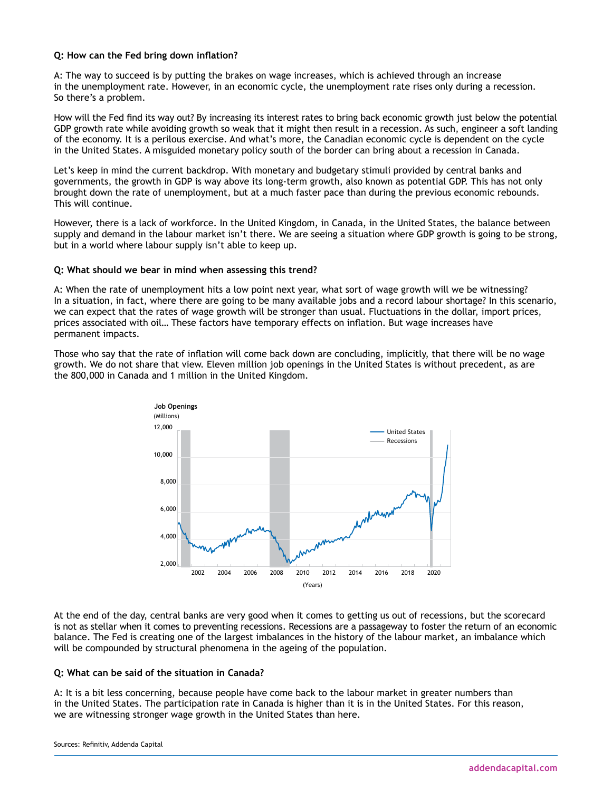### **Q: How can the Fed bring down inflation?**

A: The way to succeed is by putting the brakes on wage increases, which is achieved through an increase in the unemployment rate. However, in an economic cycle, the unemployment rate rises only during a recession. So there's a problem.

How will the Fed find its way out? By increasing its interest rates to bring back economic growth just below the potential GDP growth rate while avoiding growth so weak that it might then result in a recession. As such, engineer a soft landing of the economy. It is a perilous exercise. And what's more, the Canadian economic cycle is dependent on the cycle in the United States. A misguided monetary policy south of the border can bring about a recession in Canada.

Let's keep in mind the current backdrop. With monetary and budgetary stimuli provided by central banks and governments, the growth in GDP is way above its long-term growth, also known as potential GDP. This has not only brought down the rate of unemployment, but at a much faster pace than during the previous economic rebounds. This will continue.

However, there is a lack of workforce. In the United Kingdom, in Canada, in the United States, the balance between supply and demand in the labour market isn't there. We are seeing a situation where GDP growth is going to be strong, but in a world where labour supply isn't able to keep up.

### **Q: What should we bear in mind when assessing this trend?**

A: When the rate of unemployment hits a low point next year, what sort of wage growth will we be witnessing? In a situation, in fact, where there are going to be many available jobs and a record labour shortage? In this scenario, we can expect that the rates of wage growth will be stronger than usual. Fluctuations in the dollar, import prices, prices associated with oil… These factors have temporary effects on inflation. But wage increases have permanent impacts.

Those who say that the rate of inflation will come back down are concluding, implicitly, that there will be no wage growth. We do not share that view. Eleven million job openings in the United States is without precedent, as are the 800,000 in Canada and 1 million in the United Kingdom.



At the end of the day, central banks are very good when it comes to getting us out of recessions, but the scorecard is not as stellar when it comes to preventing recessions. Recessions are a passageway to foster the return of an economic balance. The Fed is creating one of the largest imbalances in the history of the labour market, an imbalance which will be compounded by structural phenomena in the ageing of the population.

# **Q: What can be said of the situation in Canada?**

A: It is a bit less concerning, because people have come back to the labour market in greater numbers than in the United States. The participation rate in Canada is higher than it is in the United States. For this reason, we are witnessing stronger wage growth in the United States than here.